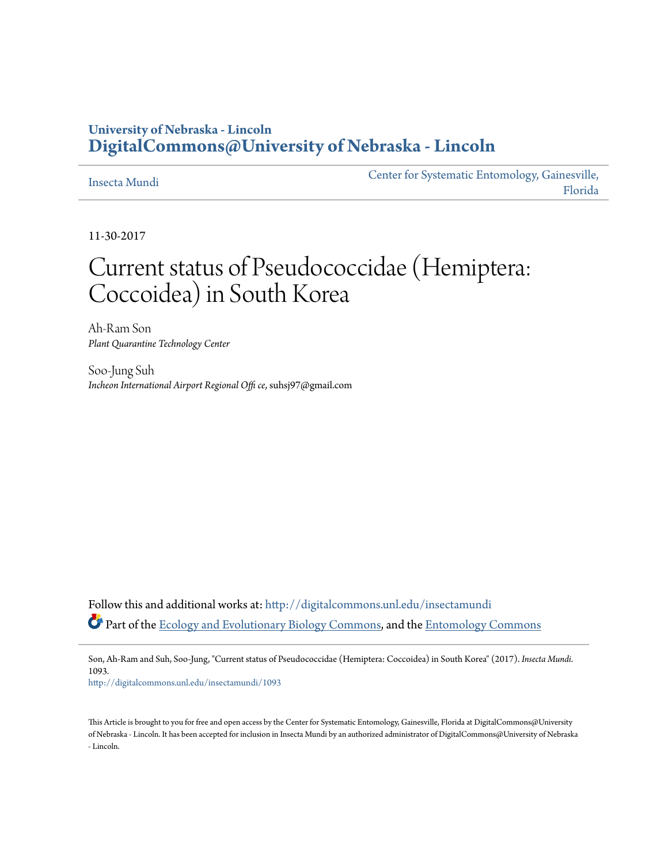## **University of Nebraska - Lincoln [DigitalCommons@University of Nebraska - Lincoln](http://digitalcommons.unl.edu?utm_source=digitalcommons.unl.edu%2Finsectamundi%2F1093&utm_medium=PDF&utm_campaign=PDFCoverPages)**

#### [Insecta Mundi](http://digitalcommons.unl.edu/insectamundi?utm_source=digitalcommons.unl.edu%2Finsectamundi%2F1093&utm_medium=PDF&utm_campaign=PDFCoverPages)

[Center for Systematic Entomology, Gainesville,](http://digitalcommons.unl.edu/centersystematicentomology?utm_source=digitalcommons.unl.edu%2Finsectamundi%2F1093&utm_medium=PDF&utm_campaign=PDFCoverPages) [Florida](http://digitalcommons.unl.edu/centersystematicentomology?utm_source=digitalcommons.unl.edu%2Finsectamundi%2F1093&utm_medium=PDF&utm_campaign=PDFCoverPages)

11-30-2017

# Current status of Pseudococcidae (Hemiptera: Coccoidea) in South Korea

Ah-Ram Son *Plant Quarantine Technology Center*

Soo-Jung Suh *Incheon International Airport Regional Offi ce*, suhsj97@gmail.com

Follow this and additional works at: [http://digitalcommons.unl.edu/insectamundi](http://digitalcommons.unl.edu/insectamundi?utm_source=digitalcommons.unl.edu%2Finsectamundi%2F1093&utm_medium=PDF&utm_campaign=PDFCoverPages) Part of the [Ecology and Evolutionary Biology Commons](http://network.bepress.com/hgg/discipline/14?utm_source=digitalcommons.unl.edu%2Finsectamundi%2F1093&utm_medium=PDF&utm_campaign=PDFCoverPages), and the [Entomology Commons](http://network.bepress.com/hgg/discipline/83?utm_source=digitalcommons.unl.edu%2Finsectamundi%2F1093&utm_medium=PDF&utm_campaign=PDFCoverPages)

Son, Ah-Ram and Suh, Soo-Jung, "Current status of Pseudococcidae (Hemiptera: Coccoidea) in South Korea" (2017). *Insecta Mundi*. 1093.

[http://digitalcommons.unl.edu/insectamundi/1093](http://digitalcommons.unl.edu/insectamundi/1093?utm_source=digitalcommons.unl.edu%2Finsectamundi%2F1093&utm_medium=PDF&utm_campaign=PDFCoverPages)

This Article is brought to you for free and open access by the Center for Systematic Entomology, Gainesville, Florida at DigitalCommons@University of Nebraska - Lincoln. It has been accepted for inclusion in Insecta Mundi by an authorized administrator of DigitalCommons@University of Nebraska - Lincoln.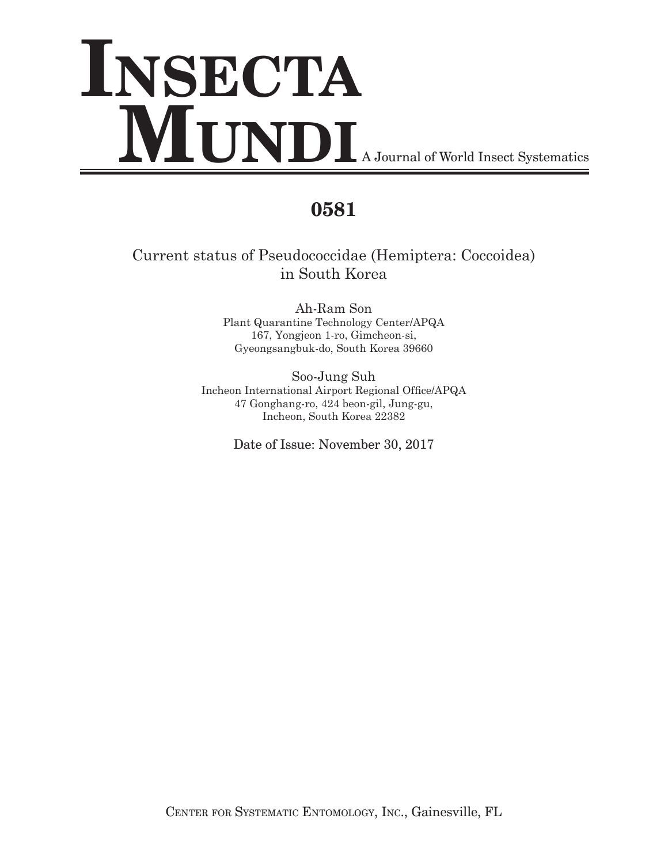# **INSECTA MUNDI** A Journal of World Insect Systematics

# **0581**

# Current status of Pseudococcidae (Hemiptera: Coccoidea) in South Korea

Ah-Ram Son Plant Quarantine Technology Center/APQA 167, Yongjeon 1-ro, Gimcheon-si, Gyeongsangbuk-do, South Korea 39660

Soo-Jung Suh Incheon International Airport Regional Office/APQA 47 Gonghang-ro, 424 beon-gil, Jung-gu, Incheon, South Korea 22382

Date of Issue: November 30, 2017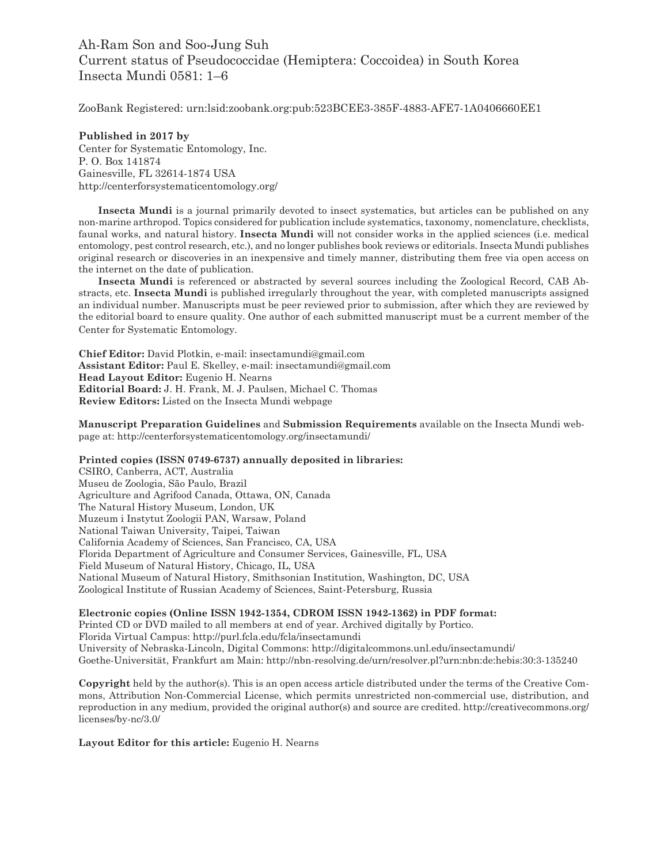### Ah-Ram Son and Soo-Jung Suh Current status of Pseudococcidae (Hemiptera: Coccoidea) in South Korea Insecta Mundi 0581: 1–6

ZooBank Registered: urn:lsid:zoobank.org:pub:523BCEE3-385F-4883-AFE7-1A0406660EE1

**Published in 2017 by** Center for Systematic Entomology, Inc. P. O. Box 141874 Gainesville, FL 32614-1874 USA http://centerforsystematicentomology.org/

 **Insecta Mundi** is a journal primarily devoted to insect systematics, but articles can be published on any non-marine arthropod. Topics considered for publication include systematics, taxonomy, nomenclature, checklists, faunal works, and natural history. **Insecta Mundi** will not consider works in the applied sciences (i.e. medical entomology, pest control research, etc.), and no longer publishes book reviews or editorials. Insecta Mundi publishes original research or discoveries in an inexpensive and timely manner, distributing them free via open access on the internet on the date of publication.

**Insecta Mundi** is referenced or abstracted by several sources including the Zoological Record, CAB Abstracts, etc. **Insecta Mundi** is published irregularly throughout the year, with completed manuscripts assigned an individual number. Manuscripts must be peer reviewed prior to submission, after which they are reviewed by the editorial board to ensure quality. One author of each submitted manuscript must be a current member of the Center for Systematic Entomology.

**Chief Editor:** David Plotkin, e-mail: insectamundi@gmail.com **Assistant Editor:** Paul E. Skelley, e-mail: insectamundi@gmail.com **Head Layout Editor:** Eugenio H. Nearns **Editorial Board:** J. H. Frank, M. J. Paulsen, Michael C. Thomas **Review Editors:** Listed on the Insecta Mundi webpage

**Manuscript Preparation Guidelines** and **Submission Requirements** available on the Insecta Mundi webpage at: http://centerforsystematicentomology.org/insectamundi/

**Printed copies (ISSN 0749-6737) annually deposited in libraries:**

CSIRO, Canberra, ACT, Australia Museu de Zoologia, São Paulo, Brazil Agriculture and Agrifood Canada, Ottawa, ON, Canada The Natural History Museum, London, UK Muzeum i Instytut Zoologii PAN, Warsaw, Poland National Taiwan University, Taipei, Taiwan California Academy of Sciences, San Francisco, CA, USA Florida Department of Agriculture and Consumer Services, Gainesville, FL, USA Field Museum of Natural History, Chicago, IL, USA National Museum of Natural History, Smithsonian Institution, Washington, DC, USA Zoological Institute of Russian Academy of Sciences, Saint-Petersburg, Russia

**Electronic copies (Online ISSN 1942-1354, CDROM ISSN 1942-1362) in PDF format:**

Printed CD or DVD mailed to all members at end of year. Archived digitally by Portico. Florida Virtual Campus: http://purl.fcla.edu/fcla/insectamundi University of Nebraska-Lincoln, Digital Commons: http://digitalcommons.unl.edu/insectamundi/ Goethe-Universität, Frankfurt am Main: http://nbn-resolving.de/urn/resolver.pl?urn:nbn:de:hebis:30:3-135240

**Copyright** held by the author(s). This is an open access article distributed under the terms of the Creative Commons, Attribution Non-Commercial License, which permits unrestricted non-commercial use, distribution, and reproduction in any medium, provided the original author(s) and source are credited. http://creativecommons.org/ licenses/by-nc/3.0/

**Layout Editor for this article:** Eugenio H. Nearns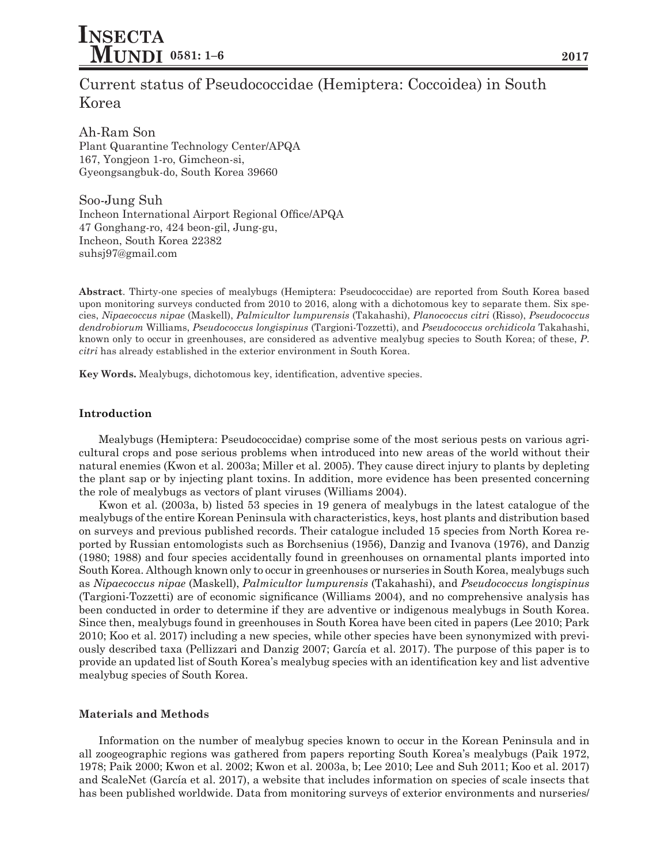## Current status of Pseudococcidae (Hemiptera: Coccoidea) in South Korea

Ah-Ram Son Plant Quarantine Technology Center/APQA 167, Yongjeon 1-ro, Gimcheon-si, Gyeongsangbuk-do, South Korea 39660

Soo-Jung Suh Incheon International Airport Regional Office/APQA 47 Gonghang-ro, 424 beon-gil, Jung-gu, Incheon, South Korea 22382 suhsj97@gmail.com

**Abstract**. Thirty-one species of mealybugs (Hemiptera: Pseudococcidae) are reported from South Korea based upon monitoring surveys conducted from 2010 to 2016, along with a dichotomous key to separate them. Six species, *Nipaecoccus nipae* (Maskell), *Palmicultor lumpurensis* (Takahashi), *Planococcus citri* (Risso), *Pseudococcus dendrobiorum* Williams, *Pseudococcus longispinus* (Targioni-Tozzetti), and *Pseudococcus orchidicola* Takahashi, known only to occur in greenhouses, are considered as adventive mealybug species to South Korea; of these, *P*. *citri* has already established in the exterior environment in South Korea.

**Key Words.** Mealybugs, dichotomous key, identification, adventive species.

#### **Introduction**

Mealybugs (Hemiptera: Pseudococcidae) comprise some of the most serious pests on various agricultural crops and pose serious problems when introduced into new areas of the world without their natural enemies (Kwon et al. 2003a; Miller et al. 2005). They cause direct injury to plants by depleting the plant sap or by injecting plant toxins. In addition, more evidence has been presented concerning the role of mealybugs as vectors of plant viruses (Williams 2004).

 Kwon et al. (2003a, b) listed 53 species in 19 genera of mealybugs in the latest catalogue of the mealybugs of the entire Korean Peninsula with characteristics, keys, host plants and distribution based on surveys and previous published records. Their catalogue included 15 species from North Korea reported by Russian entomologists such as Borchsenius (1956), Danzig and Ivanova (1976), and Danzig (1980; 1988) and four species accidentally found in greenhouses on ornamental plants imported into South Korea. Although known only to occur in greenhouses or nurseries in South Korea, mealybugs such as *Nipaecoccus nipae* (Maskell), *Palmicultor lumpurensis* (Takahashi), and *Pseudococcus longispinus* (Targioni-Tozzetti) are of economic significance (Williams 2004), and no comprehensive analysis has been conducted in order to determine if they are adventive or indigenous mealybugs in South Korea. Since then, mealybugs found in greenhouses in South Korea have been cited in papers (Lee 2010; Park 2010; Koo et al. 2017) including a new species, while other species have been synonymized with previously described taxa (Pellizzari and Danzig 2007; García et al. 2017). The purpose of this paper is to provide an updated list of South Korea's mealybug species with an identification key and list adventive mealybug species of South Korea.

#### **Materials and Methods**

Information on the number of mealybug species known to occur in the Korean Peninsula and in all zoogeographic regions was gathered from papers reporting South Korea's mealybugs (Paik 1972, 1978; Paik 2000; Kwon et al. 2002; Kwon et al. 2003a, b; Lee 2010; Lee and Suh 2011; Koo et al. 2017) and ScaleNet (García et al. 2017), a website that includes information on species of scale insects that has been published worldwide. Data from monitoring surveys of exterior environments and nurseries/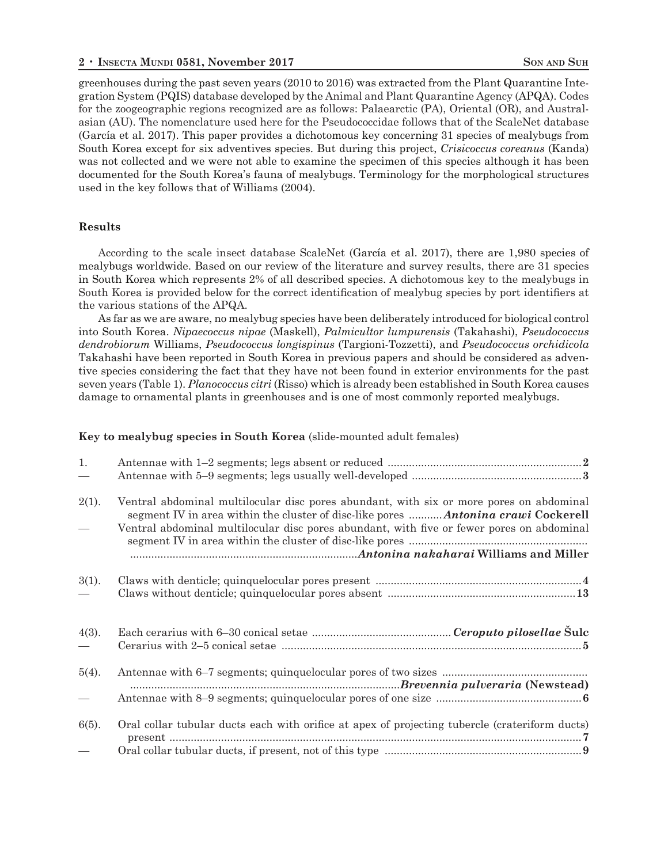greenhouses during the past seven years (2010 to 2016) was extracted from the Plant Quarantine Integration System (PQIS) database developed by the Animal and Plant Quarantine Agency (APQA). Codes for the zoogeographic regions recognized are as follows: Palaearctic (PA), Oriental (OR), and Australasian (AU). The nomenclature used here for the Pseudococcidae follows that of the ScaleNet database (García et al. 2017). This paper provides a dichotomous key concerning 31 species of mealybugs from South Korea except for six adventives species. But during this project, *Crisicoccus coreanus* (Kanda) was not collected and we were not able to examine the specimen of this species although it has been documented for the South Korea's fauna of mealybugs. Terminology for the morphological structures used in the key follows that of Williams (2004).

#### **Results**

 According to the scale insect database ScaleNet (García et al. 2017), there are 1,980 species of mealybugs worldwide. Based on our review of the literature and survey results, there are 31 species in South Korea which represents 2% of all described species. A dichotomous key to the mealybugs in South Korea is provided below for the correct identification of mealybug species by port identifiers at the various stations of the APQA.

As far as we are aware, no mealybug species have been deliberately introduced for biological control into South Korea. *Nipaecoccus nipae* (Maskell), *Palmicultor lumpurensis* (Takahashi), *Pseudococcus dendrobiorum* Williams, *Pseudococcus longispinus* (Targioni-Tozzetti), and *Pseudococcus orchidicola* Takahashi have been reported in South Korea in previous papers and should be considered as adventive species considering the fact that they have not been found in exterior environments for the past seven years (Table 1). *Planococcus citri* (Risso) which is already been established in South Korea causes damage to ornamental plants in greenhouses and is one of most commonly reported mealybugs.

#### **Key to mealybug species in South Korea** (slide-mounted adult females)

| 1.                       |                                                                                                |  |
|--------------------------|------------------------------------------------------------------------------------------------|--|
|                          |                                                                                                |  |
| 2(1).                    | Ventral abdominal multilocular disc pores abundant, with six or more pores on abdominal        |  |
| $\overline{\phantom{0}}$ | Ventral abdominal multilocular disc pores abundant, with five or fewer pores on abdominal      |  |
| 3(1).                    |                                                                                                |  |
|                          |                                                                                                |  |
| 4(3).                    |                                                                                                |  |
| $5(4)$ .                 |                                                                                                |  |
|                          |                                                                                                |  |
| 6(5).                    | Oral collar tubular ducts each with orifice at apex of projecting tubercle (crateriform ducts) |  |
|                          |                                                                                                |  |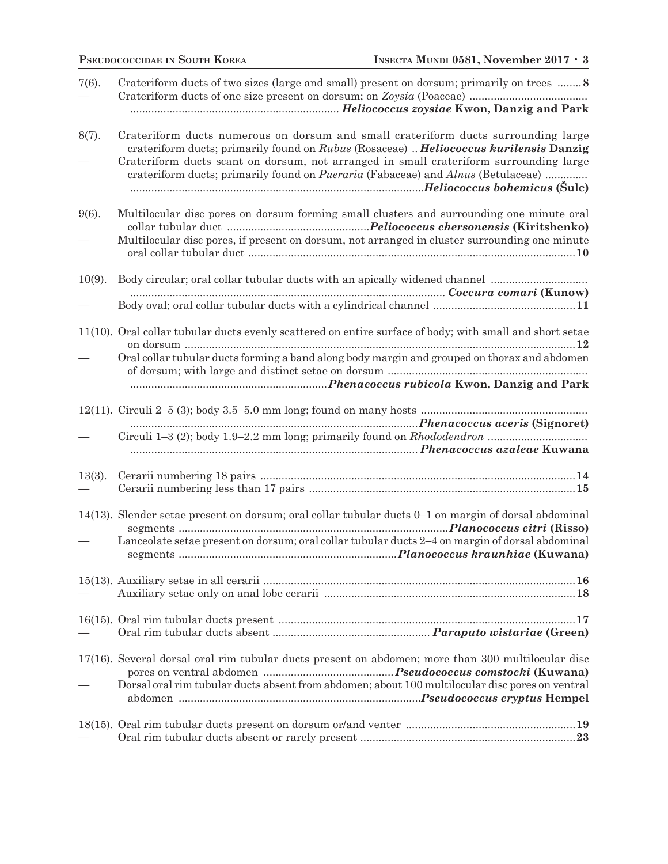| $7(6)$ .  | Crateriform ducts of two sizes (large and small) present on dorsum; primarily on trees  8                                                                                                                                                                                                                                                                               |
|-----------|-------------------------------------------------------------------------------------------------------------------------------------------------------------------------------------------------------------------------------------------------------------------------------------------------------------------------------------------------------------------------|
| 8(7).     | Crateriform ducts numerous on dorsum and small crateriform ducts surrounding large<br>crateriform ducts; primarily found on Rubus (Rosaceae)  Heliococcus kurilensis Danzig<br>Crateriform ducts scant on dorsum, not arranged in small crateriform surrounding large<br>crateriform ducts; primarily found on <i>Pueraria</i> (Fabaceae) and <i>Alnus</i> (Betulaceae) |
| $9(6)$ .  | Multilocular disc pores on dorsum forming small clusters and surrounding one minute oral<br>Multilocular disc pores, if present on dorsum, not arranged in cluster surrounding one minute                                                                                                                                                                               |
| $10(9)$ . |                                                                                                                                                                                                                                                                                                                                                                         |
|           |                                                                                                                                                                                                                                                                                                                                                                         |
|           |                                                                                                                                                                                                                                                                                                                                                                         |
|           | 11(10). Oral collar tubular ducts evenly scattered on entire surface of body; with small and short setae                                                                                                                                                                                                                                                                |
|           | Oral collar tubular ducts forming a band along body margin and grouped on thorax and abdomen                                                                                                                                                                                                                                                                            |
|           |                                                                                                                                                                                                                                                                                                                                                                         |
|           |                                                                                                                                                                                                                                                                                                                                                                         |
|           |                                                                                                                                                                                                                                                                                                                                                                         |
|           |                                                                                                                                                                                                                                                                                                                                                                         |
|           |                                                                                                                                                                                                                                                                                                                                                                         |
| $13(3)$ . |                                                                                                                                                                                                                                                                                                                                                                         |
|           |                                                                                                                                                                                                                                                                                                                                                                         |
|           |                                                                                                                                                                                                                                                                                                                                                                         |
|           | 14(13). Slender setae present on dorsum; oral collar tubular ducts 0–1 on margin of dorsal abdominal                                                                                                                                                                                                                                                                    |
|           | Lanceolate setae present on dorsum; oral collar tubular ducts 2-4 on margin of dorsal abdominal                                                                                                                                                                                                                                                                         |
|           |                                                                                                                                                                                                                                                                                                                                                                         |
|           |                                                                                                                                                                                                                                                                                                                                                                         |
|           |                                                                                                                                                                                                                                                                                                                                                                         |
|           |                                                                                                                                                                                                                                                                                                                                                                         |
|           | 17(16). Several dorsal oral rim tubular ducts present on abdomen; more than 300 multilocular disc                                                                                                                                                                                                                                                                       |
|           |                                                                                                                                                                                                                                                                                                                                                                         |
|           | Dorsal oral rim tubular ducts absent from abdomen; about 100 multilocular disc pores on ventral                                                                                                                                                                                                                                                                         |
|           |                                                                                                                                                                                                                                                                                                                                                                         |
|           |                                                                                                                                                                                                                                                                                                                                                                         |
|           |                                                                                                                                                                                                                                                                                                                                                                         |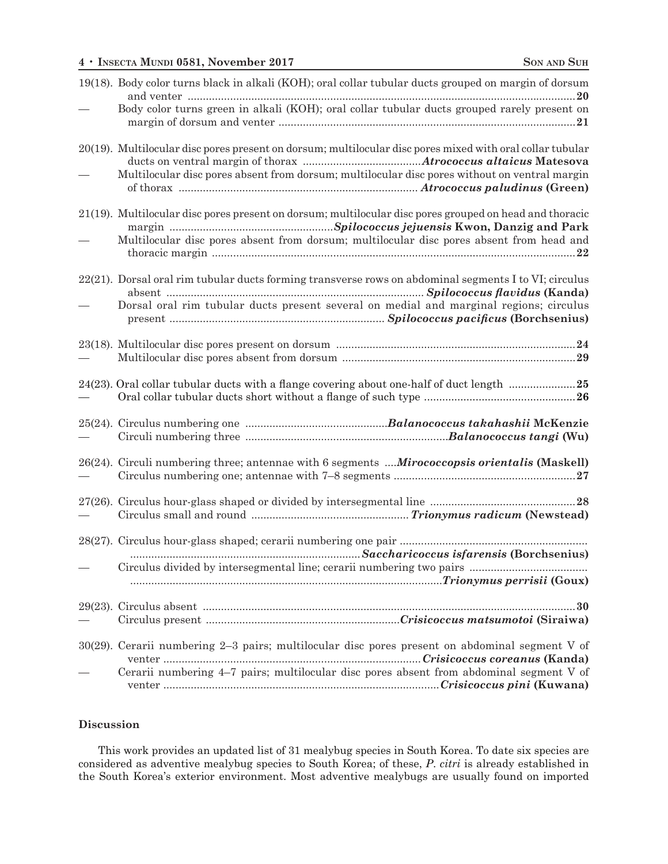| 19(18). Body color turns black in alkali (KOH); oral collar tubular ducts grouped on margin of dorsum     |
|-----------------------------------------------------------------------------------------------------------|
| Body color turns green in alkali (KOH); oral collar tubular ducts grouped rarely present on               |
| 20(19). Multilocular disc pores present on dorsum; multilocular disc pores mixed with oral collar tubular |
| Multilocular disc pores absent from dorsum; multilocular disc pores without on ventral margin             |
| 21(19). Multilocular disc pores present on dorsum; multilocular disc pores grouped on head and thoracic   |
| Multilocular disc pores absent from dorsum; multilocular disc pores absent from head and                  |
| 22(21). Dorsal oral rim tubular ducts forming transverse rows on abdominal segments I to VI; circulus     |
| Dorsal oral rim tubular ducts present several on medial and marginal regions; circulus                    |
|                                                                                                           |
| 24(23). Oral collar tubular ducts with a flange covering about one-half of duct length 25                 |
|                                                                                                           |
| 26(24). Circuli numbering three; antennae with 6 segments  Mirococcopsis orientalis (Maskell)             |
|                                                                                                           |
|                                                                                                           |
|                                                                                                           |
|                                                                                                           |
|                                                                                                           |
| 30(29). Cerarii numbering 2-3 pairs; multilocular disc pores present on abdominal segment V of            |
| Cerarii numbering 4-7 pairs; multilocular disc pores absent from abdominal segment V of                   |

#### **Discussion**

This work provides an updated list of 31 mealybug species in South Korea. To date six species are considered as adventive mealybug species to South Korea; of these, *P*. *citri* is already established in the South Korea's exterior environment. Most adventive mealybugs are usually found on imported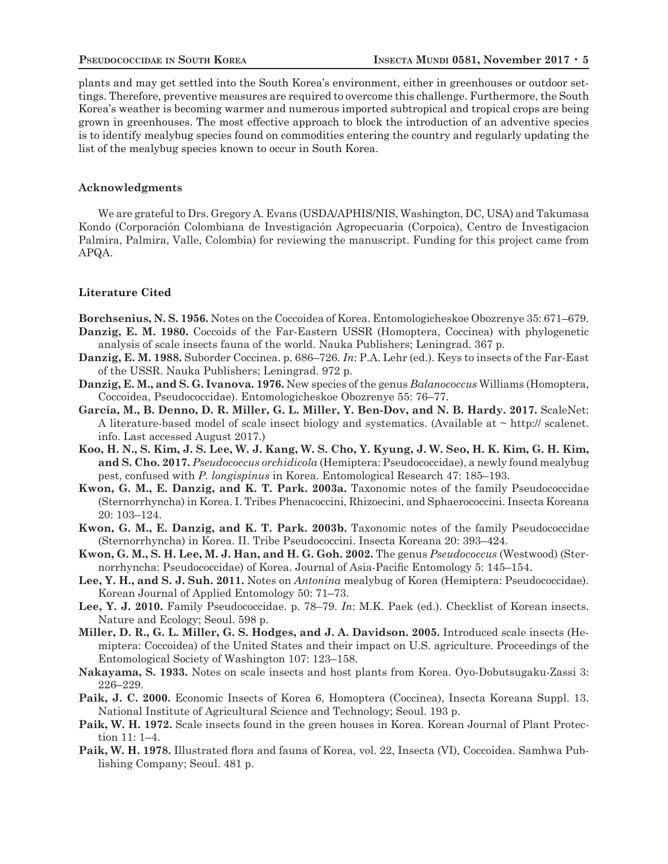plants and may get settled into the South Korea's environment, either in greenhouses or outdoor settings. Therefore, preventive measures are required to overcome this challenge. Furthermore, the South Korea's weather is becoming warmer and numerous imported subtropical and tropical crops are being grown in greenhouses. The most effective approach to block the introduction of an adventive species is to identify mealybug species found on commodities entering the country and regularly updating the list of the mealybug species known to occur in South Korea.

#### **Acknowledgments**

 We are grateful to Drs. Gregory A. Evans (USDA/APHIS/NIS, Washington, DC, USA) and Takumasa Kondo (Corporación Colombiana de Investigación Agropecuaria (Corpoica), Centro de Investigacion Palmira, Palmira, Valle, Colombia) for reviewing the manuscript. Funding for this project came from APQA.

#### **Literature Cited**

**Borchsenius, N. S. 1956.** Notes on the Coccoidea of Korea. Entomologicheskoe Obozrenye 35: 671–679.

- **Danzig, E. M. 1980.** Coccoids of the Far-Eastern USSR (Homoptera, Coccinea) with phylogenetic analysis of scale insects fauna of the world. Nauka Publishers; Leningrad. 367 p.
- **Danzig, E. M. 1988.** Suborder Coccinea. p. 686–726. *In*: P.A. Lehr (ed.). Keys to insects of the Far-East of the USSR. Nauka Publishers; Leningrad. 972 p.
- **Danzig, E. M., and S. G. Ivanova. 1976.** New species of the genus *Balanococcus* Williams (Homoptera, Coccoidea, Pseudococcidae). Entomologicheskoe Obozrenye 55: 76–77.
- **García, M., B. Denno, D. R. Miller, G. L. Miller, Y. Ben-Dov, and N. B. Hardy. 2017.** ScaleNet: A literature-based model of scale insect biology and systematics. (Available at ~ http:// scalenet. info. Last accessed August 2017.)
- **Koo, H. N., S. Kim, J. S. Lee, W. J. Kang, W. S. Cho, Y. Kyung, J. W. Seo, H. K. Kim, G. H. Kim, and S. Cho. 2017.** *Pseudococcus orchidicola* (Hemiptera: Pseudococcidae), a newly found mealybug pest, confused with *P. longispinus* in Korea. Entomological Research 47: 185–193.
- **Kwon, G. M., E. Danzig, and K. T. Park. 2003a.** Taxonomic notes of the family Pseudococcidae (Sternorrhyncha) in Korea. I. Tribes Phenacoccini, Rhizoecini, and Sphaerococcini. Insecta Koreana 20: 103–124.
- **Kwon, G. M., E. Danzig, and K. T. Park. 2003b.** Taxonomic notes of the family Pseudococcidae (Sternorrhyncha) in Korea. II. Tribe Pseudococcini. Insecta Koreana 20: 393–424.
- **Kwon, G. M., S. H. Lee, M. J. Han, and H. G. Goh. 2002.** The genus *Pseudococcus* (Westwood) (Sternorrhyncha: Pseudococcidae) of Korea. Journal of Asia-Pacific Entomology 5: 145–154.
- **Lee, Y. H., and S. J. Suh. 2011.** Notes on *Antonina* mealybug of Korea (Hemiptera: Pseudococcidae). Korean Journal of Applied Entomology 50: 71–73.
- **Lee, Y. J. 2010.** Family Pseudococcidae. p. 78–79. *In*: M.K. Paek (ed.). Checklist of Korean insects. Nature and Ecology; Seoul. 598 p.
- **Miller, D. R., G. L. Miller, G. S. Hodges, and J. A. Davidson. 2005.** Introduced scale insects (Hemiptera: Coccoidea) of the United States and their impact on U.S. agriculture. Proceedings of the Entomological Society of Washington 107: 123–158.
- **Nakayama, S. 1933.** Notes on scale insects and host plants from Korea. Oyo-Dobutsugaku-Zassi 3: 226–229.
- **Paik, J. C. 2000.** Economic Insects of Korea 6, Homoptera (Coccinea), Insecta Koreana Suppl. 13. National Institute of Agricultural Science and Technology; Seoul. 193 p.
- **Paik, W. H. 1972.** Scale insects found in the green houses in Korea. Korean Journal of Plant Protection 11: 1–4.
- Paik, W. H. 1978. Illustrated flora and fauna of Korea, vol. 22, Insecta (VI), Coccoidea. Samhwa Publishing Company; Seoul. 481 p.